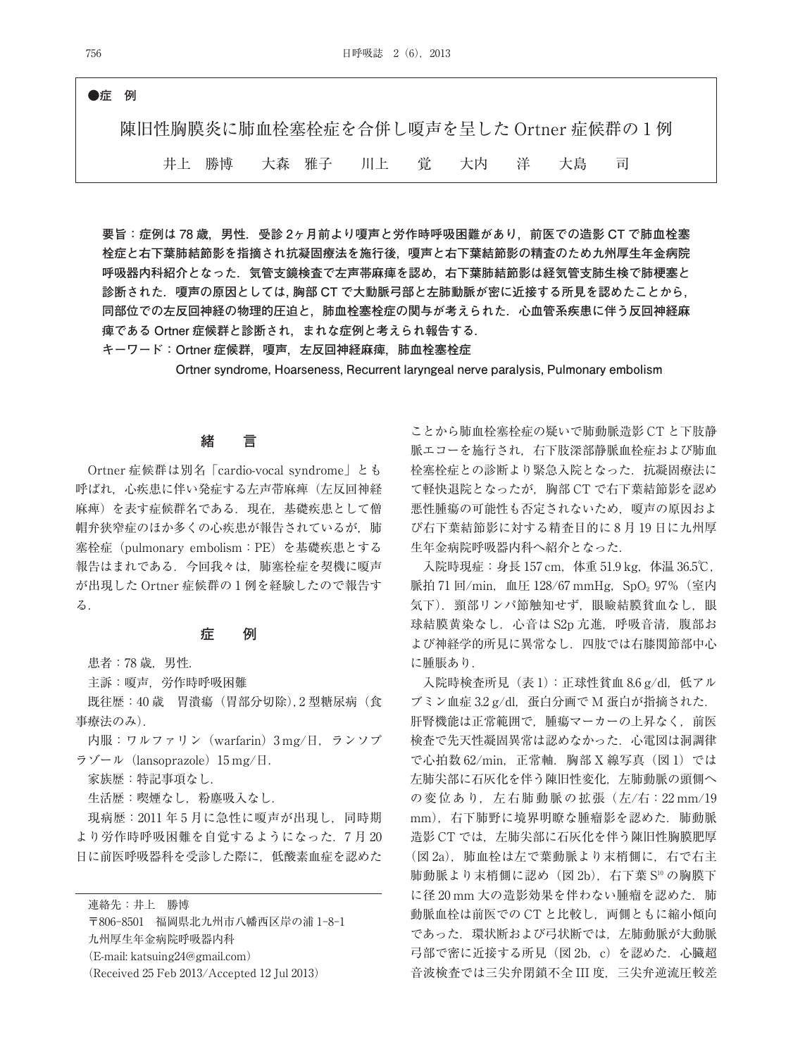# **●症 例** 陳旧性胸膜炎に肺血栓塞栓症を合併し嗄声を呈した Ortner 症候群の 1 例 井上 勝博 大森 雅子 川上 覚 大内 洋 大島 司

**要旨:症例は 78 歳,男性.受診 2ヶ月前より嗄声と労作時呼吸困難があり,前医での造影 CT で肺血栓塞 栓症と右下葉肺結節影を指摘され抗凝固療法を施行後,嗄声と右下葉結節影の精査のため九州厚生年金病院 呼吸器内科紹介となった.気管支鏡検査で左声帯麻痺を認め,右下葉肺結節影は経気管支肺生検で肺梗塞と 診断された.嗄声の原因としては,胸部 CT で大動脈弓部と左肺動脈が密に近接する所見を認めたことから, 同部位での左反回神経の物理的圧迫と,肺血栓塞栓症の関与が考えられた.心血管系疾患に伴う反回神経麻 痺である Ortner 症候群と診断され,まれな症例と考えられ報告する.**

**キーワード:Ortner 症候群,嗄声,左反回神経麻痺,肺血栓塞栓症**

**Ortner syndrome, Hoarseness, Recurrent laryngeal nerve paralysis, Pulmonary embolism**

## **緒 言**

Ortner 症候群は別名「cardio-vocal syndrome」とも 呼ばれ,心疾患に伴い発症する左声帯麻痺(左反回神経 麻痺)を表す症候群名である. 現在, 基礎疾患として僧 帽弁狭窄症のほか多くの心疾患が報告されているが, 肺 塞栓症(pulmonary embolism:PE)を基礎疾患とする 報告はまれである.今回我々は,肺塞栓症を契機に嗄声 が出現した Ortner 症候群の 1 例を経験したので報告す る.

#### **症 例**

患者:78 歳,男性.

主訴:嗄声,労作時呼吸困難

既往歴:40 歳 胃潰瘍(胃部分切除), 2 型糖尿病(食 事療法のみ).

内服:ワルファリン(warfarin)3 mg/日,ランソプ ラゾール (lansoprazole) 15 mg/日.

家族歴:特記事項なし.

生活歴:喫煙なし,粉塵吸入なし.

現病歴:2011 年 5 月に急性に嗄声が出現し,同時期 より労作時呼吸困難を自覚するようになった.7 月 20 日に前医呼吸器科を受診した際に,低酸素血症を認めた

連絡先:井上 勝博

〒806-8501 福岡県北九州市八幡西区岸の浦 1-8-1 九州厚生年金病院呼吸器内科 (E-mail: katsuing24@gmail.com) (Received 25 Feb 2013/Accepted 12 Jul 2013)

ことから肺血栓塞栓症の疑いで肺動脈造影 CT と下肢静 脈エコーを施行され、右下肢深部静脈血栓症および肺血 栓塞栓症との診断より緊急入院となった. 抗凝固療法に て軽快退院となったが,胸部 CT で右下葉結節影を認め 悪性腫瘍の可能性も否定されないため,嗄声の原因およ び右下葉結節影に対する精査目的に 8 月 19 日に九州厚 生年金病院呼吸器内科へ紹介となった.

入院時現症: 身長 157 cm, 体重 51.9 kg, 体温 36.5℃, 脈拍 71 回/min, 血圧 128/67 mmHg, SpO<sub>2</sub> 97% (室内 気下).頸部リンパ節触知せず,眼瞼結膜貧血なし,眼 球結膜黄染なし. 心音は S2p 亢進, 呼吸音清, 腹部お よび神経学的所見に異常なし.四肢では右膝関節部中心 に腫脹あり.

入院時検査所見(表1):正球性貧血 8.6 g/dl,低アル  $\forall$ ミン血症 3.2 g/dl, 蛋白分画で M 蛋白が指摘された. 肝腎機能は正常範囲で、腫瘍マーカーの上昇なく、前医 検査で先天性凝固異常は認めなかった.心電図は洞調律 で心拍数 62/min, 正常軸. 胸部 X 線写真 (図 1) では 左肺尖部に石灰化を伴う陳旧性変化,左肺動脈の頭側へ の変位あり,左右肺動脈の拡張(左/右: 22 mm/19 mm), 右下肺野に境界明瞭な腫瘤影を認めた. 肺動脈 造影 CT では、左肺尖部に石灰化を伴う陳旧性胸膜肥厚 (図 2a),肺血栓は左で葉動脈より末梢側に,右で右主 肺動脈より末梢側に認め(図 2b),右下葉 S10 の胸膜下 に径20 mm 大の造影効果を伴わない腫瘤を認めた. 肺 動脈血栓は前医での CT と比較し、両側ともに縮小傾向 であった.環状断および弓状断では,左肺動脈が大動脈 弓部で密に近接する所見(図 2b,c)を認めた.心臓超 音波検査では三尖弁閉鎖不全 III 度,三尖弁逆流圧較差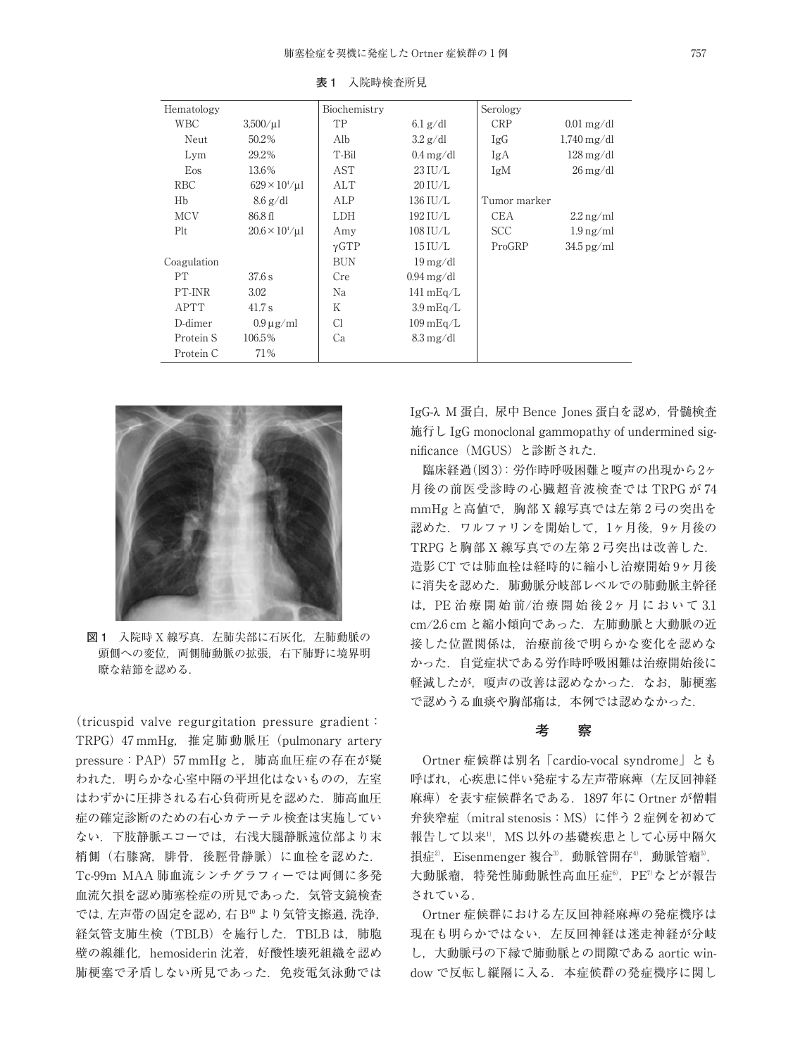| Hematology  |                                       | Biochemistry |                                | Serology     |                                |
|-------------|---------------------------------------|--------------|--------------------------------|--------------|--------------------------------|
| WBC         | $3,500/\mu$ l                         | TP           | $6.1$ g/dl                     | <b>CRP</b>   | $0.01 \,\mathrm{mg/dl}$        |
| Neut        | 50.2%                                 | Alb          | $3.2$ g/dl                     | IgG          | $1,740 \,\mathrm{mg/dl}$       |
| Lym         | 29.2%                                 | T-Bil        | $0.4 \text{ mg}/\text{dl}$     | IgA          | $128 \,\mathrm{mg/dl}$         |
| Eos         | 13.6%                                 | AST          | $23$ IU/L                      | IgM          | $26 \,\mathrm{mg}/\mathrm{dl}$ |
| <b>RBC</b>  | $629 \times 10^{4} / \mu$ l           | ALT          | $20$ IU/L                      |              |                                |
| Hb          | $8.6$ g/dl                            | ALP          | 136 IU/L                       | Tumor marker |                                |
| <b>MCV</b>  | 86.8 fl                               | LDH          | 192 IU/L                       | <b>CEA</b>   | $2.2 \,\mathrm{ng/ml}$         |
| Plt         | $20.6 \times 10^{4} / \mu$ l          | Amy          | $108$ IU/L                     | <b>SCC</b>   | $1.9 \,\mathrm{ng/ml}$         |
|             |                                       | $\gamma$ GTP | $15$ IU/L                      | ProGRP       | $34.5$ pg/ml                   |
| Coagulation |                                       | <b>BUN</b>   | $19 \,\mathrm{mg}/\mathrm{dl}$ |              |                                |
| PT          | 37.6 s                                | Cre          | $0.94 \text{ mg}/\text{dl}$    |              |                                |
| PT-INR      | 3.02                                  | Na           | $141 \text{ mEq/L}$            |              |                                |
| <b>APTT</b> | 41.7 s                                | Κ            | $3.9 \text{ mEq/L}$            |              |                                |
| D-dimer     | $0.9 \,\mathrm{\upmu}\,\mathrm{g/mL}$ | Cl           | $109 \text{ mEq/L}$            |              |                                |
| Protein S   | 106.5%                                | Ca           | $8.3 \text{ mg}/\text{dl}$     |              |                                |
| Protein C   | 71%                                   |              |                                |              |                                |

**表 1** 入院時検査所見



**図 1** 入院時 X 線写真.左肺尖部に石灰化,左肺動脈の 頭側への変位, 両側肺動脈の拡張, 右下肺野に境界明 瞭な結節を認める.

(tricuspid valve regurgitation pressure gradient: TRPG)47 mmHg,推定肺動脈圧(pulmonary artery pressure: PAP) 57 mmHg と, 肺高血圧症の存在が疑 われた. 明らかな心室中隔の平坦化はないものの、左室 はわずかに圧排される右心負荷所見を認めた.肺高血圧 症の確定診断のための右心カテーテル検査は実施してい ない.下肢静脈エコーでは,右浅大腿静脈遠位部より末 梢側(右膝窩,腓骨,後脛骨静脈)に血栓を認めた. Tc-99m MAA 肺血流シンチグラフィーでは両側に多発 血流欠損を認め肺塞栓症の所見であった.気管支鏡検査 では,左声帯の固定を認め,右 B10 より気管支擦過,洗浄, 経気管支肺生検 (TBLB) を施行した. TBLB は、肺胞 壁の線維化,hemosiderin 沈着,好酸性壊死組織を認め 肺梗塞で矛盾しない所見であった. 免疫電気泳動では IgG-λ M 蛋白, 尿中 Bence Jones 蛋白を認め,骨髄検査 施行し IgG monoclonal gammopathy of undermined significance(MGUS)と診断された.

臨床経過(図3):労作時呼吸困難と嗄声の出現から2ヶ 月後の前医受診時の心臓超音波検査では TRPG が 74 mmHg と高値で、胸部 X 線写真では左第2弓の突出を 認めた.ワルファリンを開始して,1ヶ月後,9ヶ月後の TRPG と胸部 X 線写真での左第 2 弓突出は改善した. 造影 CT では肺血栓は経時的に縮小し治療開始 9ヶ月後 に消失を認めた.肺動脈分岐部レベルでの肺動脈主幹径 は,PE 治 療 開 始 前/治 療 開 始 後 2ヶ 月 に お い て 3.1 cm/2.6 cm と縮小傾向であった. 左肺動脈と大動脈の近 接した位置関係は,治療前後で明らかな変化を認めな かった.自覚症状である労作時呼吸困難は治療開始後に 軽減したが、嗄声の改善は認めなかった. なお, 肺梗塞 で認めうる血痰や胸部痛は,本例では認めなかった.

## **考 察**

Ortner 症候群は別名「cardio-vocal syndrome」とも 呼ばれ,心疾患に伴い発症する左声帯麻痺(左反回神経 麻痺)を表す症候群名である.1897 年に Ortner が僧帽 弁狭窄症 (mitral stenosis: MS) に伴う2症例を初めて 報告して以来'',MS 以外の基礎疾患として心房中隔欠 損症<sup>2</sup>,Eisenmenger 複合<sup>3</sup>,動脈管開存<sup>4</sup>,動脈管瘤<sup>5</sup>, 大動脈瘤,特発性肺動脈性高血圧症©,PE7 などが報告 されている.

Ortner 症候群における左反回神経麻痺の発症機序は 現在も明らかではない. 左反回神経は迷走神経が分岐 し,大動脈弓の下縁で肺動脈との間伱である aortic window で反転し縦隔に入る.本症候群の発症機序に関し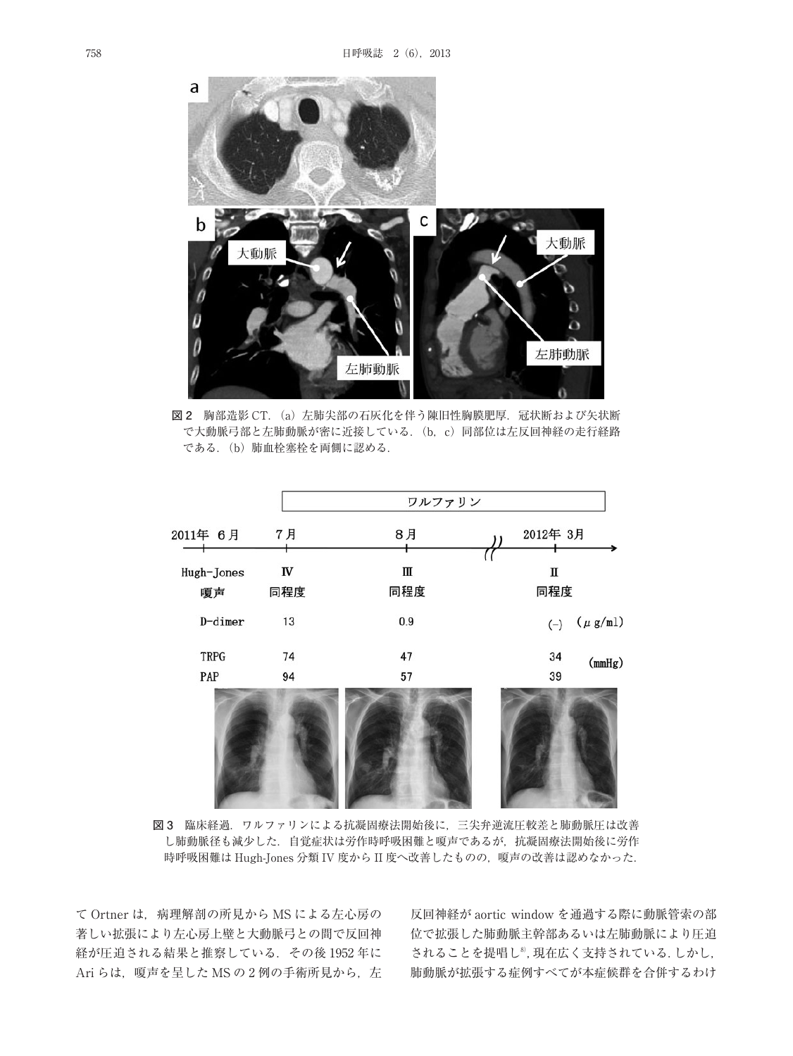

図 2 胸部造影 CT. (a) 左肺尖部の石灰化を伴う陳旧性胸膜肥厚. 冠状断および矢状断 で大動脈弓部と左肺動脈が密に近接している.(b,c)同部位は左反回神経の走行経路 である.(b)肺血栓塞栓を両側に認める.

|             | ワルファリン                          |            |                       |  |  |
|-------------|---------------------------------|------------|-----------------------|--|--|
| 2011年 6月    | 7月                              | 8月         | 2012年 3月              |  |  |
|             |                                 |            |                       |  |  |
| Hugh-Jones  | $\ensuremath{\text{IV}}\xspace$ | Ш          | П                     |  |  |
| 嗄声          | 同程度                             | 同程度<br>同程度 |                       |  |  |
| D-dimer     | 13                              | 0.9        | $(\mu g/ml)$<br>$(-)$ |  |  |
| <b>TRPG</b> | 74                              | 47         | 34<br>(mmHg)          |  |  |
| PAP         | 94                              | 57         | 39                    |  |  |
|             |                                 |            |                       |  |  |

**図 3** 臨床経過.ワルファリンによる抗凝固療法開始後に,三尖弁逆流圧較差と肺動脈圧は改善 し肺動脈径も減少した.自覚症状は労作時呼吸困難と嗄声であるが,抗凝固療法開始後に労作 時呼吸困難は Hugh-Jones 分類 IV 度から II 度へ改善したものの、嗄声の改善は認めなかった.

て Ortner は,病理解剖の所見から MS による左心房の 著しい拡張により左心房上壁と大動脈弓との間で反回神 経が圧迫される結果と推察している.その後 1952 年に Ari らは、嗄声を呈した MS の 2 例の手術所見から、左 反回神経が aortic window を通過する際に動脈管索の部 位で拡張した肺動脈主幹部あるいは左肺動脈により圧迫 されることを提唱し<sup>8</sup>,現在広く支持されている.しかし, 肺動脈が拡張する症例すべてが本症候群を合併するわけ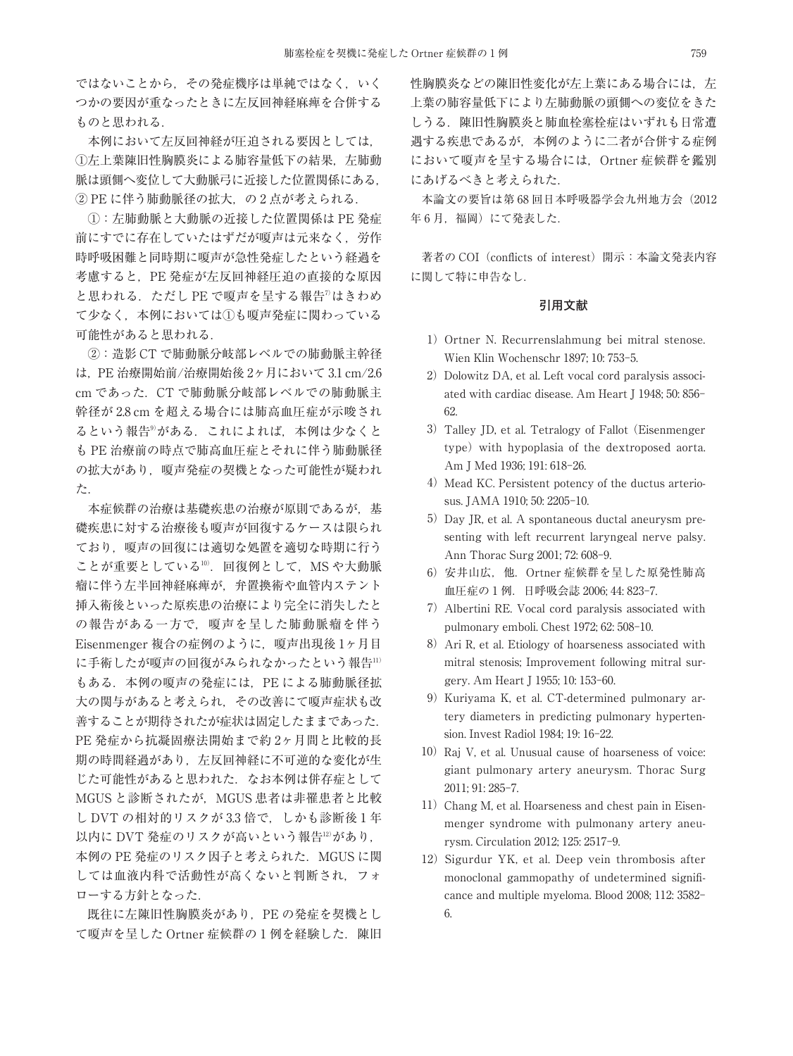ではないことから,その発症機序は単純ではなく,いく つかの要因が重なったときに左反回神経麻痺を合併する ものと思われる.

本例において左反回神経が圧迫される要因としては, ①左上葉陳旧性胸膜炎による肺容量低下の結果,左肺動 脈は頭側へ変位して大動脈弓に近接した位置関係にある,  $(2)$  PE に伴う肺動脈径の拡大, の2点が考えられる.

①:左肺動脈と大動脈の近接した位置関係は PE 発症 前にすでに存在していたはずだが嗄声は元来なく,労作 時呼吸困難と同時期に嗄声が急性発症したという経過を 考慮すると,PE 発症が左反回神経圧迫の直接的な原因 と思われる.ただし PE で嗄声を呈する報告<sup>7)</sup>はきわめ て少なく、本例においては①も嗄声発症に関わっている 可能性があると思われる.

②:造影 CT で肺動脈分岐部レベルでの肺動脈主幹径 は,PE 治療開始前/治療開始後 2ヶ月において 3.1 cm/2.6 cm であった.CT で肺動脈分岐部レベルでの肺動脈主 幹径が 2.8 cm を超える場合には肺高血圧症が示唆され るという報告<sup>9)</sup>がある.これによれば,本例は少なくと も PE 治療前の時点で肺高血圧症とそれに伴う肺動脈径 の拡大があり、嗄声発症の契機となった可能性が疑われ た.

本症候群の治療は基礎疾患の治療が原則であるが,基 礎疾患に対する治療後も嗄声が回復するケースは限られ ており,嗄声の回復には適切な処置を適切な時期に行う ことが重要としている'''. 回復例として,MS や大動脈 瘤に伴う左半回神経麻痺が,弁置換術や血管内ステント 挿入術後といった原疾患の治療により完全に消失したと の報告がある一方で,嗄声を呈した肺動脈瘤を伴う Eisenmenger 複合の症例のように,嗄声出現後 1ヶ月目 に手術したが嗄声の回復がみられなかったという報告11) もある. 本例の嗄声の発症には、PE による肺動脈径拡 大の関与があると考えられ,その改善にて嗄声症状も改 善することが期待されたが症状は固定したままであった. PE 発症から抗凝固療法開始まで約 2ヶ月間と比較的長 期の時間経過があり,左反回神経に不可逆的な変化が生 じた可能性があると思われた. なお本例は併存症として MGUS と診断されたが, MGUS 患者は非罹患者と比較 し DVT の相対的リスクが 3.3 倍で、しかも診断後1年 以内に DVT 発症のリスクが高いという報告12があり, 本例の PE 発症のリスク因子と考えられた. MGUS に関 しては血液内科で活動性が高くないと判断され,フォ ローする方針となった.

既往に左陳旧性胸膜炎があり,PE の発症を契機とし て嗄声を呈した Ortner 症候群の1例を経験した. 陳旧 性胸膜炎などの陳旧性変化が左上葉にある場合には、左 上葉の肺容量低下により左肺動脈の頭側への変位をきた しうる.陳旧性胸膜炎と肺血栓塞栓症はいずれも日常遭 遇する疾患であるが,本例のように二者が合併する症例 において嗄声を呈する場合には,Ortner 症候群を鑑別 にあげるべきと考えられた.

本論文の要旨は第 68 回日本呼吸器学会九州地方会(2012 年6月,福岡)にて発表した.

著者の COI (conflicts of interest) 開示:本論文発表内容 に関して特に申告なし.

#### **引用文献**

- 1) Ortner N. Recurrenslahmung bei mitral stenose. Wien Klin Wochenschr 1897; 10: 753-5.
- 2) Dolowitz DA, et al. Left vocal cord paralysis associated with cardiac disease. Am Heart J 1948; 50: 856- 62.
- 3) Talley JD, et al. Tetralogy of Fallot (Eisenmenger) type) with hypoplasia of the dextroposed aorta. Am J Med 1936; 191: 618-26.
- 4) Mead KC. Persistent potency of the ductus arteriosus. JAMA 1910; 50: 2205-10.
- 5) Day JR, et al. A spontaneous ductal aneurysm presenting with left recurrent laryngeal nerve palsy. Ann Thorac Surg 2001; 72: 608-9.
- 6)安井山広,他.Ortner 症候群を呈した原発性肺高 血圧症の 1 例.日呼吸会誌 2006; 44: 823-7.
- 7)Albertini RE. Vocal cord paralysis associated with pulmonary emboli. Chest 1972; 62: 508-10.
- 8) Ari R, et al. Etiology of hoarseness associated with mitral stenosis; Improvement following mitral surgery. Am Heart J 1955; 10: 153-60.
- 9)Kuriyama K, et al. CT-determined pulmonary artery diameters in predicting pulmonary hypertension. Invest Radiol 1984; 19: 16-22.
- 10) Raj V, et al. Unusual cause of hoarseness of voice: giant pulmonary artery aneurysm. Thorac Surg 2011; 91: 285-7.
- 11) Chang M, et al. Hoarseness and chest pain in Eisenmenger syndrome with pulmonany artery aneurysm. Circulation 2012; 125: 2517-9.
- 12) Sigurdur YK, et al. Deep vein thrombosis after monoclonal gammopathy of undetermined significance and multiple myeloma. Blood 2008; 112: 3582- 6.